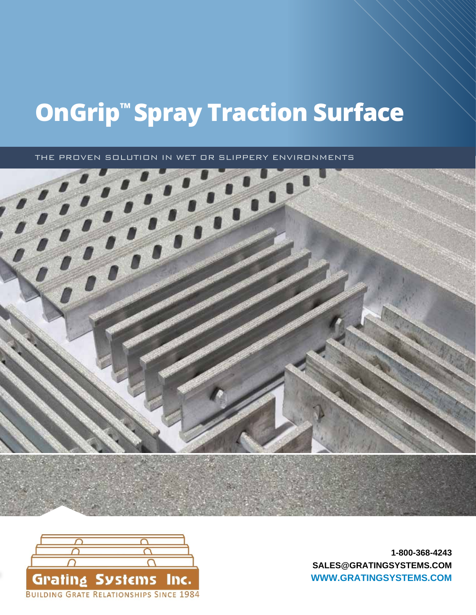# **OnGrip™ Spray Traction Surface**

THE PROVEN SOLUTION IN WET OR SLIPPERY ENVIRONMENTS





[SALES@GRATINGSYSTEMS.COM](mailto:sales@gratingsystems.com) www.ohiogratings.com **[WWW.GRATINGSYSTEMS.COM](www.gratingsystems.com)1-800-368-4243**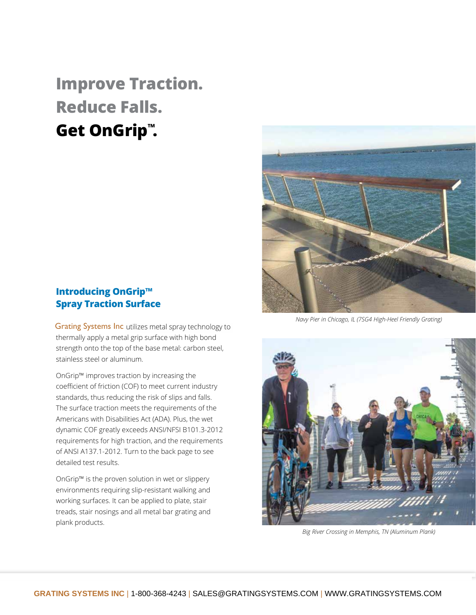# **Improve Traction. Reduce Falls. Get OnGrip™.**



**Introducing OnGrip™ Spray Traction Surface**

Grating Systems Inc utilizes metal spray techno thermally apply a metal grip surface with high bond strength onto the top of the base metal: carbon steel, stainless steel or aluminum.

OnGrip™ improves traction by increasing the coefficient of friction (COF) to meet current industry standards, thus reducing the risk of slips and falls. The surface traction meets the requirements of the Americans with Disabilities Act (ADA). Plus, the wet dynamic COF greatly exceeds ANSI/NFSI B101.3-2012 requirements for high traction, and the requirements of ANSI A137.1-2012. Turn to the back page to see detailed test results.

OnGrip™ is the proven solution in wet or slippery environments requiring slip-resistant walking and working surfaces. It can be applied to plate, stair treads, stair nosings and all metal bar grating and plank products.

*Navy Pier in Chicago, IL (7SG4 High-Heel Friendly Grating)* 



*Big River Crossing in Memphis, TN (Aluminum Plank)*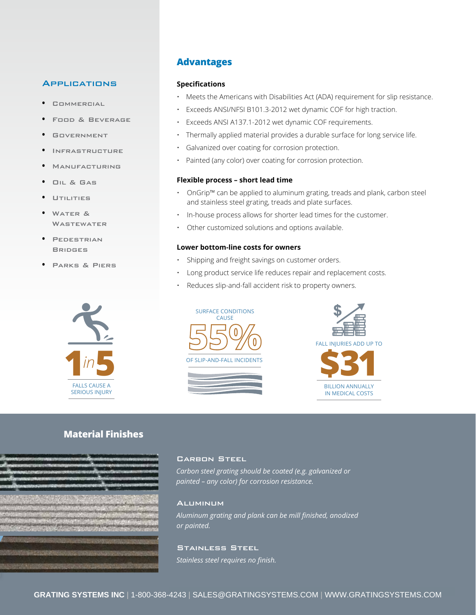#### **APPLICATIONS**

- **•** Commercial
- **•** Food & Beverage
- **•** Government
- **•** Infrastructure
- **•** Manufacturing
- **•** Oil & Gas
- **•** Utilities
- **•** Water & **WASTEWATER**
- **•** Pedestrian **BRIDGES**
- **•** Parks & Piers



## **Advantages**

#### **Specifications**

- Meets the Americans with Disabilities Act (ADA) requirement for slip resistance.
- Exceeds ANSI/NFSI B101.3-2012 wet dynamic COF for high traction.
- Exceeds ANSI A137.1-2012 wet dynamic COF requirements.
- Thermally applied material provides a durable surface for long service life.
- Galvanized over coating for corrosion protection.
- Painted (any color) over coating for corrosion protection.

#### **Flexible process – short lead time**

- OnGrip™ can be applied to aluminum grating, treads and plank, carbon steel and stainless steel grating, treads and plate surfaces.
- In-house process allows for shorter lead times for the customer.
- Other customized solutions and options available.

#### **Lower bottom-line costs for owners**

- Shipping and freight savings on customer orders.
- Long product service life reduces repair and replacement costs.
- Reduces slip-and-fall accident risk to property owners.





FALL INJURIES ADD UP TO



# **Material Finishes**



#### CARBON STEEL

*Carbon steel grating should be coated (e.g. galvanized or painted – any color) for corrosion resistance.*

#### **ALUMINUM**

*Aluminum grating and plank can be mill finished, anodized or painted.*

### Stainless Steel

*Stainless steel requires no finish.*